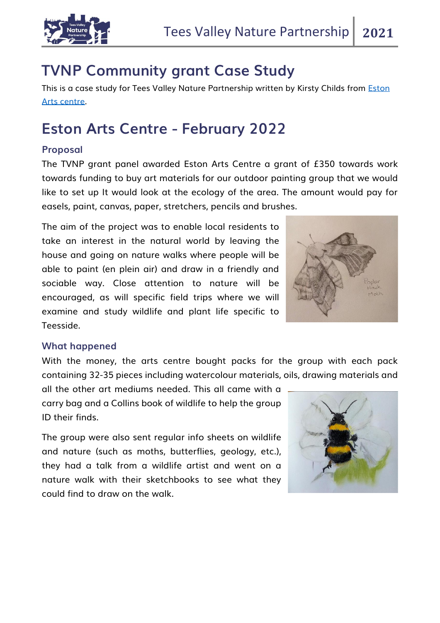

## **TVNP Community grant Case Study**

This is a case study for Tees Valley Nature Partnership written by Kirsty Childs from Eston [Arts centre.](https://www.enjoyteesvalley.com/things-to-do/eston-arts-centre-p1060371)

# **Eston Arts Centre - February 2022**

### **Proposal**

The TVNP grant panel awarded Eston Arts Centre a grant of £350 towards work towards funding to buy art materials for our outdoor painting group that we would like to set up It would look at the ecology of the area. The amount would pay for easels, paint, canvas, paper, stretchers, pencils and brushes.

The aim of the project was to enable local residents to take an interest in the natural world by leaving the house and going on nature walks where people will be able to paint (en plein air) and draw in a friendly and sociable way. Close attention to nature will be encouraged, as will specific field trips where we will examine and study wildlife and plant life specific to Teesside.



### **What happened**

With the money, the arts centre bought packs for the group with each pack containing 32-35 pieces including watercolour materials, oils, drawing materials and

all the other art mediums needed. This all came with a carry bag and a Collins book of wildlife to help the group ID their finds.

The group were also sent regular info sheets on wildlife and nature (such as moths, butterflies, geology, etc.), they had a talk from a wildlife artist and went on a nature walk with their sketchbooks to see what they could find to draw on the walk.